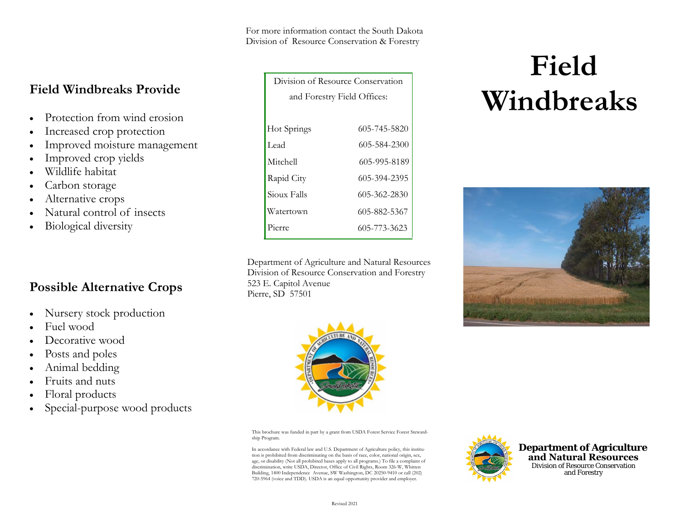For more information contact the South Dakota Division of Resource Conservation & Forestry

# **Field Windbreaks Provide**

- •Protection from wind erosion
- •Increased crop protection
- •Improved moisture management
- •Improved crop yields
- •Wildlife habitat
- •Carbon storage
- •Alternative crops
- •Natural control of insects
- •Biological diversity

## **Possible Alternative Crops**

- •Nursery stock production
- •Fuel wood
- •Decorative wood
- •Posts and poles
- •Animal bedding
- •Fruits and nuts
- •Floral products
- •Special-purpose wood products

| Division of Resource Conservation |              |
|-----------------------------------|--------------|
| and Forestry Field Offices:       |              |
|                                   |              |
| Hot Springs                       | 605-745-5820 |
| Lead                              | 605-584-2300 |
| Mitchell                          | 605-995-8189 |
| Rapid City                        | 605-394-2395 |
| Sioux Falls                       | 605-362-2830 |
| Watertown                         | 605-882-5367 |
| Pierre                            | 605-773-3623 |

Department of Agriculture and Natural ResourcesDivision of Resource Conservation and Forestry 523 E. Capitol Avenue Pierre, SD 57501



This brochure was funded in part by a grant from USDA Forest Service Forest Stewardship Program.

In accordance with Federal law and U.S. Department of Agriculture policy, this institution is prohibited from discriminating on the basis of race, color, national origin, sex, age, or disability (Not all prohibited bases apply to all programs.) To file a complaint of discrimination, write USDA, Director, Office of Civil Rights, Room 326-W, Whitten Building, 1400 Independence Avenue, SW Washington, DC 20250-9410 or call (202) 720-5964 (voice and TDD). USDA is an equal opportunity provider and employer.



**Department of Agriculture and Natural Resources** Division of Resource Conservation and Forestry

# **Field Windbreaks**